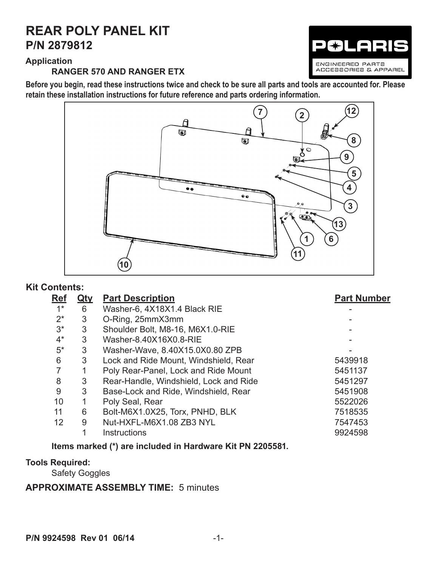# **P/N 2879812 REAR POLY PANEL KIT**

ENGINEERED PARTS ACCESSORIES & APPAREL

# **Application**

#### **RANGER 570 AND RANGER ETX**

**Before you begin, read these instructions twice and check to be sure all parts and tools are accounted for. Please retain these installation instructions for future reference and parts ordering information.** 



## **Kit Contents:**

| <b>Ref</b> | <u>Qty</u> | <b>Part Description</b>                | <b>Part Number</b> |
|------------|------------|----------------------------------------|--------------------|
| $1^*$      | 6          | Washer-6, 4X18X1.4 Black RIE           |                    |
| $2^*$      | 3          | O-Ring, 25mmX3mm                       |                    |
| $3^*$      | 3          | Shoulder Bolt, M8-16, M6X1.0-RIE       |                    |
| $4^*$      | 3          | Washer-8.40X16X0.8-RIE                 |                    |
| $5*$       | 3          | Washer-Wave, 8.40X15.0X0.80 ZPB        |                    |
| 6          | 3          | Lock and Ride Mount, Windshield, Rear  | 5439918            |
|            |            | Poly Rear-Panel, Lock and Ride Mount   | 5451137            |
| 8          | 3          | Rear-Handle, Windshield, Lock and Ride | 5451297            |
| 9          | 3          | Base-Lock and Ride, Windshield, Rear   | 5451908            |
| 10         | 1          | Poly Seal, Rear                        | 5522026            |
| 11         | 6          | Bolt-M6X1.0X25, Torx, PNHD, BLK        | 7518535            |
| 12         | 9          | Nut-HXFL-M6X1.08 ZB3 NYL               | 7547453            |
|            |            | <b>Instructions</b>                    | 9924598            |
|            |            |                                        |                    |

**Items marked (\*) are included in Hardware Kit PN 2205581.**

## **Tools Required:**

Safety Goggles

## **APPROXIMATE ASSEMBLY TIME:** 5 minutes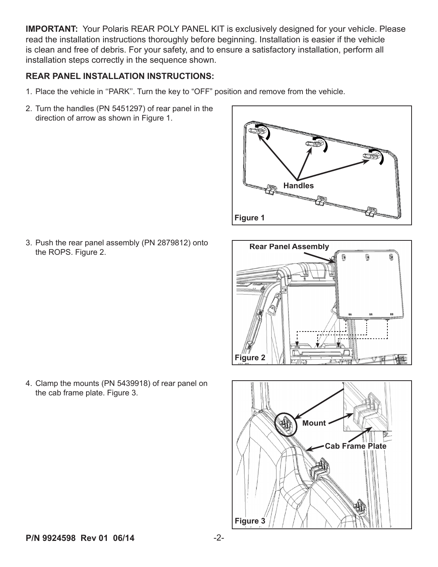**IMPORTANT:** Your Polaris REAR POLY PANEL KIT is exclusively designed for your vehicle. Please read the installation instructions thoroughly before beginning. Installation is easier if the vehicle is clean and free of debris. For your safety, and to ensure a satisfactory installation, perform all installation steps correctly in the sequence shown.

#### **REAR PANEL INSTALLATION INSTRUCTIONS:**

- 1. Place the vehicle in ''PARK''. Turn the key to "OFF" position and remove from the vehicle.
- 2. Turn the handles (PN 5451297) of rear panel in the direction of arrow as shown in Figure 1.



3. Push the rear panel assembly (PN 2879812) onto the ROPS. Figure 2.





4. Clamp the mounts (PN 5439918) of rear panel on the cab frame plate. Figure 3.